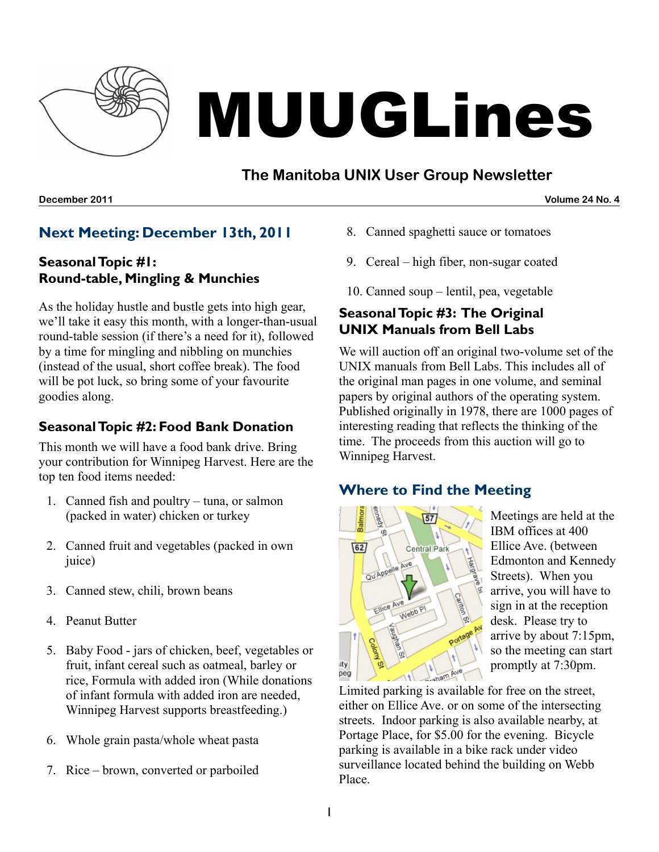

# MUUGLines

# **The Manitoba UNIX User Group Newsletter**

**December 2011 Volume 24 No. 4**

# **Next Meeting: December 13th, 2011**

#### **SeasonalTopic #1: Round-table, Mingling & Munchies**

As the holiday hustle and bustle gets into high gear, we'll take it easy this month, with a longer-than-usual round-table session (if there's a need for it), followed by a time for mingling and nibbling on munchies (instead of the usual, short coffee break). The food will be pot luck, so bring some of your favourite goodies along.

### **SeasonalTopic #2: Food Bank Donation**

This month we will have a food bank drive. Bring your contribution for Winnipeg Harvest. Here are the top ten food items needed:

- 1. Canned fish and poultry tuna, or salmon (packed in water) chicken or turkey
- 2. Canned fruit and vegetables (packed in own juice)
- 3. Canned stew, chili, brown beans
- 4. Peanut Butter
- 5. Baby Food jars of chicken, beef, vegetables or fruit, infant cereal such as oatmeal, barley or rice, Formula with added iron (While donations of infant formula with added iron are needed, Winnipeg Harvest supports breastfeeding.)
- 6. Whole grain pasta/whole wheat pasta
- 7. Rice brown, converted or parboiled
- 8. Canned spaghetti sauce or tomatoes
- 9. Cereal high fiber, non-sugar coated
- 10. Canned soup lentil, pea, vegetable

#### **SeasonalTopic #3: The Original UNIX Manuals from Bell Labs**

We will auction off an original two-volume set of the UNIX manuals from Bell Labs. This includes all of the original man pages in one volume, and seminal papers by original authors of the operating system. Published originally in 1978, there are 1000 pages of interesting reading that reflects the thinking of the time. The proceeds from this auction will go to Winnipeg Harvest.

# **Where to Find the Meeting**



Meetings are held at the IBM offices at 400 Ellice Ave. (between Edmonton and Kennedy Streets). When you arrive, you will have to sign in at the reception desk. Please try to arrive by about 7:15pm, so the meeting can start promptly at 7:30pm.

Limited parking is available for free on the street, either on Ellice Ave. or on some of the intersecting streets. Indoor parking is also available nearby, at Portage Place, for \$5.00 for the evening. Bicycle parking is available in a bike rack under video surveillance located behind the building on Webb Place.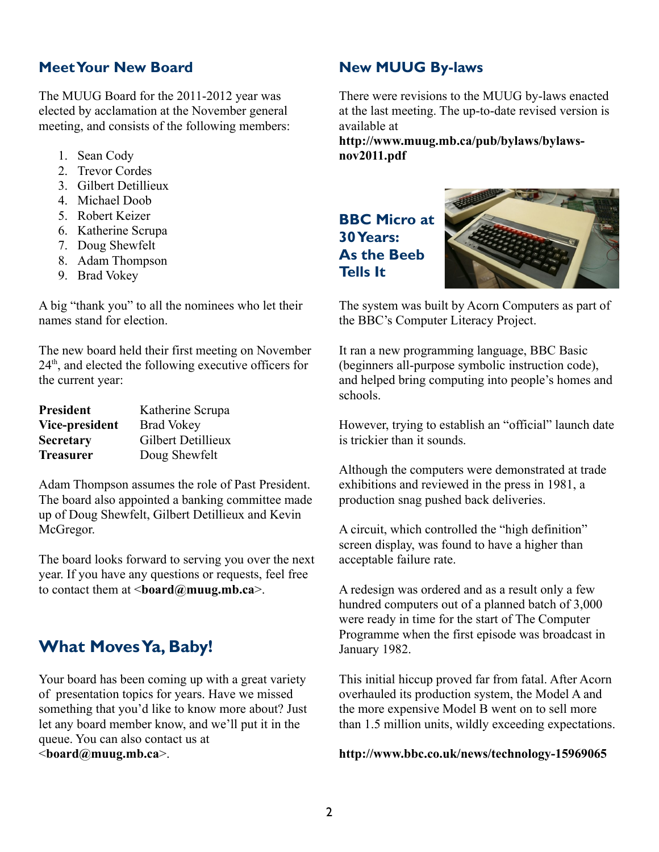#### **MeetYour New Board**

The MUUG Board for the 2011-2012 year was elected by acclamation at the November general meeting, and consists of the following members:

- 1. Sean Cody
- 2. Trevor Cordes
- 3. Gilbert Detillieux
- 4. Michael Doob
- 5. Robert Keizer
- 6. Katherine Scrupa
- 7. Doug Shewfelt
- 8. Adam Thompson
- 9. Brad Vokey

A big "thank you" to all the nominees who let their names stand for election.

The new board held their first meeting on November 24<sup>th</sup>, and elected the following executive officers for the current year:

| <b>President</b> | Katherine Scrupa   |
|------------------|--------------------|
| Vice-president   | <b>Brad Vokey</b>  |
| <b>Secretary</b> | Gilbert Detillieux |
| <b>Treasurer</b> | Doug Shewfelt      |

Adam Thompson assumes the role of Past President. The board also appointed a banking committee made up of Doug Shewfelt, Gilbert Detillieux and Kevin McGregor.

The board looks forward to serving you over the next year. If you have any questions or requests, feel free to contact them at <**[board@muug.mb.ca](mailto:board@muug.mb.ca)**>.

# **What MovesYa, Baby!**

Your board has been coming up with a great variety of presentation topics for years. Have we missed something that you'd like to know more about? Just let any board member know, and we'll put it in the queue. You can also contact us at <**[board@muug.mb.ca](mailto:board@muug.mb.ca)**>.

#### **New MUUG By-laws**

There were revisions to the MUUG by-laws enacted at the last meeting. The up-to-date revised version is available at

**[http://www.muug.mb.ca/pub/bylaws/bylaws](http://www.muug.mb.ca/pub/bylaws/bylaws-nov2011.pdf)[nov2011.pdf](http://www.muug.mb.ca/pub/bylaws/bylaws-nov2011.pdf)**

# **BBC Micro at 30Years: As the Beeb Tells It**



The system was built by Acorn Computers as part of the BBC's Computer Literacy Project.

It ran a new programming language, BBC Basic (beginners all-purpose symbolic instruction code), and helped bring computing into people's homes and schools.

However, trying to establish an "official" launch date is trickier than it sounds.

Although the computers were demonstrated at trade exhibitions and reviewed in the press in 1981, a production snag pushed back deliveries.

A circuit, which controlled the "high definition" screen display, was found to have a higher than acceptable failure rate.

A redesign was ordered and as a result only a few hundred computers out of a planned batch of 3,000 were ready in time for the start of The Computer Programme when the first episode was broadcast in January 1982.

This initial hiccup proved far from fatal. After Acorn overhauled its production system, the Model A and the more expensive Model B went on to sell more than 1.5 million units, wildly exceeding expectations.

#### **<http://www.bbc.co.uk/news/technology-15969065>**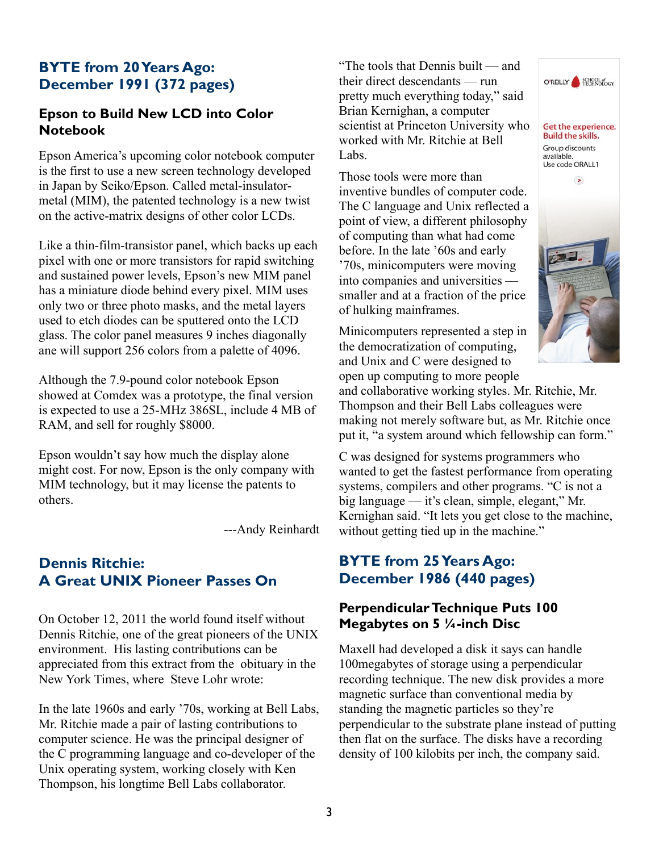### **BYTE from 20Years Ago: December 1991 (372 pages)**

#### **Epson to Build New LCD into Color Notebook**

Epson America's upcoming color notebook computer is the first to use a new screen technology developed in Japan by Seiko/Epson. Called metal-insulatormetal (MIM), the patented technology is a new twist on the active-matrix designs of other color LCDs.

Like a thin-film-transistor panel, which backs up each pixel with one or more transistors for rapid switching and sustained power levels, Epson's new MIM panel has a miniature diode behind every pixel. MIM uses only two or three photo masks, and the metal layers used to etch diodes can be sputtered onto the LCD glass. The color panel measures 9 inches diagonally ane will support 256 colors from a palette of 4096.

Although the 7.9-pound color notebook Epson showed at Comdex was a prototype, the final version is expected to use a 25-MHz 386SL, include 4 MB of RAM, and sell for roughly \$8000.

Epson wouldn't say how much the display alone might cost. For now, Epson is the only company with MIM technology, but it may license the patents to others.

---Andy Reinhardt

# **Dennis Ritchie: A Great UNIX Pioneer Passes On**

On October 12, 2011 the world found itself without Dennis Ritchie, one of the great pioneers of the UNIX environment. His lasting contributions can be appreciated from this extract from the obituary in the New York Times, where Steve Lohr wrote:

In the late 1960s and early '70s, working at Bell Labs, Mr. Ritchie made a pair of lasting contributions to computer science. He was the principal designer of the C programming language and co-developer of the Unix operating system, working closely with Ken Thompson, his longtime Bell Labs collaborator.

"The tools that Dennis built — and their direct descendants — run pretty much everything today," said Brian Kernighan, a computer scientist at Princeton University who worked with Mr. Ritchie at Bell Labs.

Those tools were more than inventive bundles of computer code. The C language and Unix reflected a point of view, a different philosophy of computing than what had come before. In the late '60s and early '70s, minicomputers were moving into companies and universities smaller and at a fraction of the price of hulking mainframes.

Minicomputers represented a step in the democratization of computing, and Unix and C were designed to open up computing to more people



and collaborative working styles. Mr. Ritchie, Mr. Thompson and their Bell Labs colleagues were making not merely software but, as Mr. Ritchie once put it, "a system around which fellowship can form."

C was designed for systems programmers who wanted to get the fastest performance from operating systems, compilers and other programs. "C is not a big language — it's clean, simple, elegant," Mr. Kernighan said. "It lets you get close to the machine, without getting tied up in the machine."

#### **BYTE from 25Years Ago: December 1986 (440 pages)**

#### **PerpendicularTechnique Puts 100 Megabytes on 5 ¼-inch Disc**

Maxell had developed a disk it says can handle 100megabytes of storage using a perpendicular recording technique. The new disk provides a more magnetic surface than conventional media by standing the magnetic particles so they're perpendicular to the substrate plane instead of putting then flat on the surface. The disks have a recording density of 100 kilobits per inch, the company said.